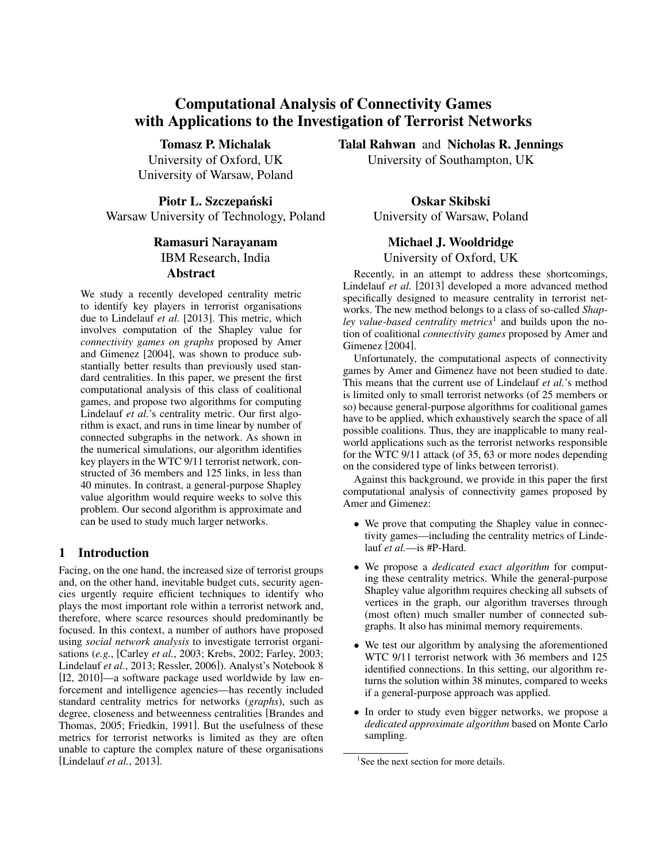# Computational Analysis of Connectivity Games with Applications to the Investigation of Terrorist Networks

Tomasz P. Michalak University of Oxford, UK University of Warsaw, Poland

Piotr L. Szczepański Warsaw University of Technology, Poland

## Ramasuri Narayanam IBM Research, India Abstract

We study a recently developed centrality metric to identify key players in terrorist organisations due to Lindelauf *et al.* [2013]. This metric, which involves computation of the Shapley value for *connectivity games on graphs* proposed by Amer and Gimenez [2004], was shown to produce substantially better results than previously used standard centralities. In this paper, we present the first computational analysis of this class of coalitional games, and propose two algorithms for computing Lindelauf *et al.*'s centrality metric. Our first algorithm is exact, and runs in time linear by number of connected subgraphs in the network. As shown in the numerical simulations, our algorithm identifies key players in the WTC 9/11 terrorist network, constructed of 36 members and 125 links, in less than 40 minutes. In contrast, a general-purpose Shapley value algorithm would require weeks to solve this problem. Our second algorithm is approximate and can be used to study much larger networks.

## 1 Introduction

Facing, on the one hand, the increased size of terrorist groups and, on the other hand, inevitable budget cuts, security agencies urgently require efficient techniques to identify who plays the most important role within a terrorist network and, therefore, where scarce resources should predominantly be focused. In this context, a number of authors have proposed using *social network analysis* to investigate terrorist organisations (*e.g.*, [Carley *et al.*, 2003; Krebs, 2002; Farley, 2003; Lindelauf *et al.*, 2013; Ressler, 2006]). Analyst's Notebook 8 [I2, 2010]—a software package used worldwide by law enforcement and intelligence agencies—has recently included standard centrality metrics for networks (*graphs*), such as degree, closeness and betweenness centralities [Brandes and Thomas, 2005; Friedkin, 1991]. But the usefulness of these metrics for terrorist networks is limited as they are often unable to capture the complex nature of these organisations [Lindelauf *et al.*, 2013].

Talal Rahwan and Nicholas R. Jennings University of Southampton, UK

> Oskar Skibski University of Warsaw, Poland

## Michael J. Wooldridge

University of Oxford, UK

Recently, in an attempt to address these shortcomings, Lindelauf *et al.* [2013] developed a more advanced method specifically designed to measure centrality in terrorist networks. The new method belongs to a class of so-called *Shapley value-based centrality metrics*<sup>1</sup> and builds upon the notion of coalitional *connectivity games* proposed by Amer and Gimenez [2004].

Unfortunately, the computational aspects of connectivity games by Amer and Gimenez have not been studied to date. This means that the current use of Lindelauf *et al.*'s method is limited only to small terrorist networks (of 25 members or so) because general-purpose algorithms for coalitional games have to be applied, which exhaustively search the space of all possible coalitions. Thus, they are inapplicable to many realworld applications such as the terrorist networks responsible for the WTC 9/11 attack (of 35, 63 or more nodes depending on the considered type of links between terrorist).

Against this background, we provide in this paper the first computational analysis of connectivity games proposed by Amer and Gimenez:

- We prove that computing the Shapley value in connectivity games—including the centrality metrics of Lindelauf *et al.*—is #P-Hard.
- We propose a *dedicated exact algorithm* for computing these centrality metrics. While the general-purpose Shapley value algorithm requires checking all subsets of vertices in the graph, our algorithm traverses through (most often) much smaller number of connected subgraphs. It also has minimal memory requirements.
- We test our algorithm by analysing the aforementioned WTC 9/11 terrorist network with 36 members and 125 identified connections. In this setting, our algorithm returns the solution within 38 minutes, compared to weeks if a general-purpose approach was applied.
- In order to study even bigger networks, we propose a *dedicated approximate algorithm* based on Monte Carlo sampling.

<sup>&</sup>lt;sup>1</sup>See the next section for more details.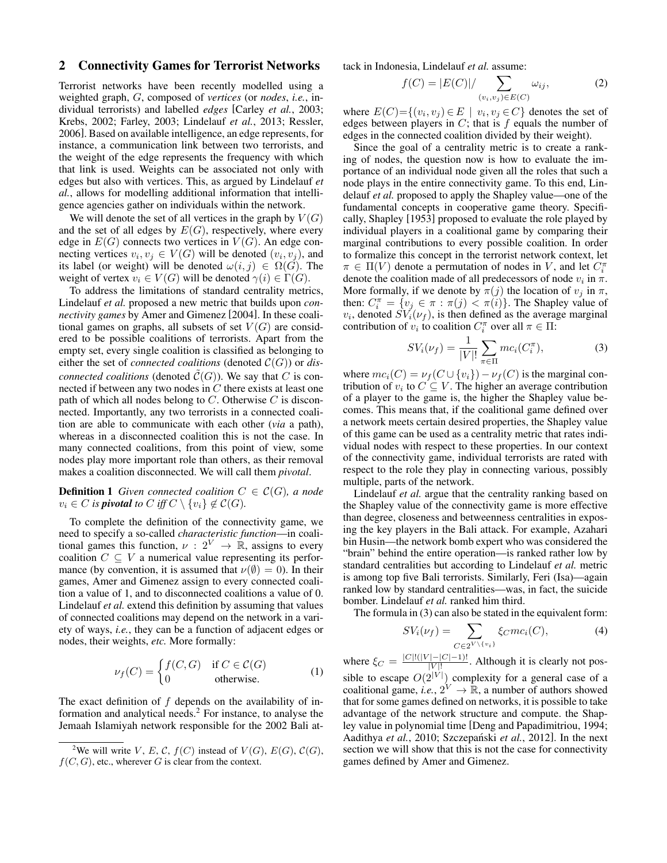## 2 Connectivity Games for Terrorist Networks

Terrorist networks have been recently modelled using a weighted graph, G, composed of *vertices* (or *nodes*, *i.e.*, individual terrorists) and labelled *edges* [Carley *et al.*, 2003; Krebs, 2002; Farley, 2003; Lindelauf *et al.*, 2013; Ressler, 2006]. Based on available intelligence, an edge represents, for instance, a communication link between two terrorists, and the weight of the edge represents the frequency with which that link is used. Weights can be associated not only with edges but also with vertices. This, as argued by Lindelauf *et al.*, allows for modelling additional information that intelligence agencies gather on individuals within the network.

We will denote the set of all vertices in the graph by  $V(G)$ and the set of all edges by  $E(G)$ , respectively, where every edge in  $E(G)$  connects two vertices in  $V(G)$ . An edge connecting vertices  $v_i, v_j \in V(G)$  will be denoted  $(v_i, v_j)$ , and its label (or weight) will be denoted  $\omega(i, j) \in \Omega(G)$ . The weight of vertex  $v_i \in V(G)$  will be denoted  $\gamma(i) \in \Gamma(G)$ .

To address the limitations of standard centrality metrics, Lindelauf *et al.* proposed a new metric that builds upon *connectivity games* by Amer and Gimenez [2004]. In these coalitional games on graphs, all subsets of set  $V(G)$  are considered to be possible coalitions of terrorists. Apart from the empty set, every single coalition is classified as belonging to either the set of *connected coalitions* (denoted  $C(G)$ ) or *disconnected coalitions* (denoted  $\tilde{C}(G)$ ). We say that C is connected if between any two nodes in  $C$  there exists at least one path of which all nodes belong to  $C$ . Otherwise  $C$  is disconnected. Importantly, any two terrorists in a connected coalition are able to communicate with each other (*via* a path), whereas in a disconnected coalition this is not the case. In many connected coalitions, from this point of view, some nodes play more important role than others, as their removal makes a coalition disconnected. We will call them *pivotal*.

**Definition 1** *Given connected coalition*  $C \in \mathcal{C}(G)$ *, a node*  $v_i \in C$  *is pivotal to*  $C$  *iff*  $C \setminus \{v_i\} \notin C(G)$ *.* 

To complete the definition of the connectivity game, we need to specify a so-called *characteristic function*—in coalitional games this function,  $\nu : 2^V \rightarrow \mathbb{R}$ , assigns to every coalition  $C \subseteq V$  a numerical value representing its performance (by convention, it is assumed that  $\nu(\emptyset) = 0$ ). In their games, Amer and Gimenez assign to every connected coalition a value of 1, and to disconnected coalitions a value of 0. Lindelauf *et al.* extend this definition by assuming that values of connected coalitions may depend on the network in a variety of ways, *i.e.*, they can be a function of adjacent edges or nodes, their weights, *etc.* More formally:

$$
\nu_f(C) = \begin{cases} f(C, G) & \text{if } C \in \mathcal{C}(G) \\ 0 & \text{otherwise.} \end{cases}
$$
 (1)

The exact definition of f depends on the availability of information and analytical needs. $<sup>2</sup>$  For instance, to analyse the</sup> Jemaah Islamiyah network responsible for the 2002 Bali attack in Indonesia, Lindelauf *et al.* assume:

$$
f(C) = |E(C)| / \sum_{(v_i, v_j) \in E(C)} \omega_{ij}, \tag{2}
$$

where  $E(C) = \{(v_i, v_j) \in E \mid v_i, v_j \in C\}$  denotes the set of edges between players in  $C$ ; that is  $f$  equals the number of edges in the connected coalition divided by their weight).

Since the goal of a centrality metric is to create a ranking of nodes, the question now is how to evaluate the importance of an individual node given all the roles that such a node plays in the entire connectivity game. To this end, Lindelauf *et al.* proposed to apply the Shapley value—one of the fundamental concepts in cooperative game theory. Specifically, Shapley [1953] proposed to evaluate the role played by individual players in a coalitional game by comparing their marginal contributions to every possible coalition. In order to formalize this concept in the terrorist network context, let  $\pi \in \Pi(V)$  denote a permutation of nodes in V, and let  $C_i^{\pi}$ denote the coalition made of all predecessors of node  $v_i$  in  $\pi$ . More formally, if we denote by  $\pi(j)$  the location of  $v_j$  in  $\pi$ , then:  $C_i^{\pi} = \{v_j \in \pi : \pi(j) < \pi(i)\}$ . The Shapley value of  $v_i$ , denoted  $SV_i(\nu_f)$ , is then defined as the average marginal contribution of  $v_i$  to coalition  $C_i^{\pi}$  over all  $\pi \in \Pi$ :

$$
SV_i(\nu_f) = \frac{1}{|V|!} \sum_{\pi \in \Pi} mc_i(C_i^{\pi}),
$$
 (3)

where  $mc_i(C) = \nu_f(C \cup \{v_i\}) - \nu_f(C)$  is the marginal contribution of  $v_i$  to  $C \subseteq V$ . The higher an average contribution of a player to the game is, the higher the Shapley value becomes. This means that, if the coalitional game defined over a network meets certain desired properties, the Shapley value of this game can be used as a centrality metric that rates individual nodes with respect to these properties. In our context of the connectivity game, individual terrorists are rated with respect to the role they play in connecting various, possibly multiple, parts of the network.

Lindelauf *et al.* argue that the centrality ranking based on the Shapley value of the connectivity game is more effective than degree, closeness and betweenness centralities in exposing the key players in the Bali attack. For example, Azahari bin Husin—the network bomb expert who was considered the "brain" behind the entire operation—is ranked rather low by standard centralities but according to Lindelauf *et al.* metric is among top five Bali terrorists. Similarly, Feri (Isa)—again ranked low by standard centralities—was, in fact, the suicide bomber. Lindelauf *et al.* ranked him third.

The formula in (3) can also be stated in the equivalent form:

$$
SV_i(\nu_f) = \sum_{C \in 2^{V \setminus \{v_i\}}} \xi_C mc_i(C), \tag{4}
$$

where  $\xi_C = \frac{|C|!(|V| - |C| - 1)!}{|V|!}$  $\frac{|-|C|-1)!}{|V|!}$ . Although it is clearly not possible to escape  $O(2^{|V|})$  complexity for a general case of a coalitional game, *i.e.*,  $2^V \rightarrow \mathbb{R}$ , a number of authors showed that for some games defined on networks, it is possible to take advantage of the network structure and compute. the Shapley value in polynomial time [Deng and Papadimitriou, 1994; Aadithya et al., 2010; Szczepański et al., 2012]. In the next section we will show that this is not the case for connectivity games defined by Amer and Gimenez.

<sup>&</sup>lt;sup>2</sup>We will write V, E, C,  $f(C)$  instead of  $V(G)$ ,  $E(G)$ ,  $C(G)$ ,  $f(C, G)$ , etc., wherever G is clear from the context.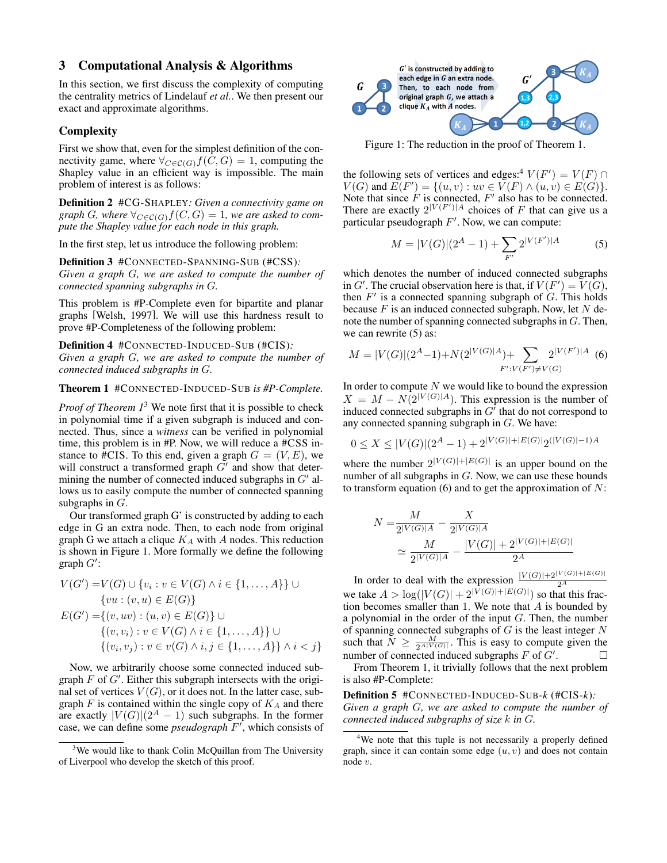## 3 Computational Analysis & Algorithms

In this section, we first discuss the complexity of computing the centrality metrics of Lindelauf *et al.*. We then present our exact and approximate algorithms.

### **Complexity**

First we show that, even for the simplest definition of the connectivity game, where  $\forall_{C \in \mathcal{C}(G)} f(C, G) = 1$ , computing the Shapley value in an efficient way is impossible. The main problem of interest is as follows:

Definition 2 #CG-SHAPLEY*: Given a connectivity game on graph G, where*  $\forall_{C \in \mathcal{C}(G)} f(C, G) = 1$ *, we are asked to compute the Shapley value for each node in this graph.*

In the first step, let us introduce the following problem:

Definition 3 #CONNECTED-SPANNING-SUB (#CSS)*: Given a graph* G*, we are asked to compute the number of connected spanning subgraphs in* G*.*

This problem is #P-Complete even for bipartite and planar graphs [Welsh, 1997]. We will use this hardness result to prove #P-Completeness of the following problem:

Definition 4 #CONNECTED-INDUCED-SUB (#CIS)*: Given a graph* G*, we are asked to compute the number of connected induced subgraphs in* G*.*

Theorem 1 #CONNECTED-INDUCED-SUB *is #P-Complete.*

*Proof of Theorem 1*<sup>3</sup> We note first that it is possible to check in polynomial time if a given subgraph is induced and connected. Thus, since a *witness* can be verified in polynomial time, this problem is in #P. Now, we will reduce a #CSS instance to #CIS. To this end, given a graph  $G = (V, E)$ , we will construct a transformed graph  $G'$  and show that determining the number of connected induced subgraphs in  $G'$  allows us to easily compute the number of connected spanning subgraphs in  $G$ .

Our transformed graph G' is constructed by adding to each edge in G an extra node. Then, to each node from original graph G we attach a clique  $K_A$  with A nodes. This reduction is shown in Figure 1. More formally we define the following  $graph G'$ :

$$
V(G') = V(G) \cup \{v_i : v \in V(G) \land i \in \{1, ..., A\}\} \cup
$$
  

$$
\{vu : (v, u) \in E(G)\}
$$
  

$$
E(G') = \{(v, uv) : (u, v) \in E(G)\} \cup
$$
  

$$
\{(v, v_i) : v \in V(G) \land i \in \{1, ..., A\}\} \cup
$$
  

$$
\{(v_i, v_j) : v \in v(G) \land i, j \in \{1, ..., A\} \} \land i < j\}
$$

Now, we arbitrarily choose some connected induced subgraph  $F$  of  $G'$ . Either this subgraph intersects with the original set of vertices  $V(G)$ , or it does not. In the latter case, subgraph  $F$  is contained within the single copy of  $K_A$  and there are exactly  $|V(G)|(2^A - 1)$  such subgraphs. In the former case, we can define some *pseudograph*  $F'$ , which consists of



Figure 1: The reduction in the proof of Theorem 1.

the following sets of vertices and edges:<sup>4</sup>  $V(F') = V(F) \cap$  $V(G)$  and  $E(F') = \{(u, v) : uv \in V(F) \land (u, v) \in E(G)\}.$ Note that since  $\tilde{F}$  is connected,  $F'$  also has to be connected. There are exactly  $2^{|V(F')|A}$  choices of F that can give us a particular pseudograph  $F'$ . Now, we can compute:

$$
M = |V(G)|(2^A - 1) + \sum_{F'} 2^{|V(F')|A} \tag{5}
$$

which denotes the number of induced connected subgraphs in G'. The crucial observation here is that, if  $V(F') = V(G)$ , then  $F'$  is a connected spanning subgraph of  $G$ . This holds because  $F$  is an induced connected subgraph. Now, let  $N$  denote the number of spanning connected subgraphs in G. Then, we can rewrite  $(5)$  as:

$$
M = |V(G)|(2^A - 1) + N(2^{|V(G)|A}) + \sum_{F':V(F') \neq V(G)} 2^{|V(F')|A}
$$
(6)

In order to compute  $N$  we would like to bound the expression  $X = M - N(2^{|V(G)|A})$ . This expression is the number of induced connected subgraphs in  $G^{\prime}$  that do not correspond to any connected spanning subgraph in  $G$ . We have:

$$
0 \le X \le |V(G)|(2^A - 1) + 2^{|V(G)| + |E(G)|} 2^{\left(|V(G)| - 1\right)A}
$$

where the number  $2^{|V(G)|+|E(G)|}$  is an upper bound on the number of all subgraphs in G. Now, we can use these bounds to transform equation (6) and to get the approximation of  $N$ :

$$
N = \frac{M}{2^{|V(G)|A}} - \frac{X}{2^{|V(G)|A}}
$$
  

$$
\simeq \frac{M}{2^{|V(G)|A}} - \frac{|V(G)| + 2^{|V(G)| + |E(G)|}}{2^A}
$$

In order to deal with the expression  $\frac{|V(G)|+2^{|V(G)|+|E(G)|}}{2^A}$ <br>we take  $A > \log(|V(G)| + 2^{|V(G)|+|E(G)|})$  so that this fraction becomes smaller than 1. We note that  $A$  is bounded by a polynomial in the order of the input  $G$ . Then, the number of spanning connected subgraphs of  $G$  is the least integer  $N$ such that  $\bar{N} \ge \frac{M}{2^{A|V(G)|}}$ . This is easy to compute given the number of connected induced subgraphs  $F$  of  $G'$ .  $\Box$ 

From Theorem 1, it trivially follows that the next problem is also #P-Complete:

Definition 5 #CONNECTED-INDUCED-SUB-*k* (#CIS-*k*)*: Given a graph* G*, we are asked to compute the number of connected induced subgraphs of size* k *in* G*.*

<sup>&</sup>lt;sup>3</sup>We would like to thank Colin McQuillan from The University of Liverpool who develop the sketch of this proof.

<sup>&</sup>lt;sup>4</sup>We note that this tuple is not necessarily a properly defined graph, since it can contain some edge  $(u, v)$  and does not contain node v.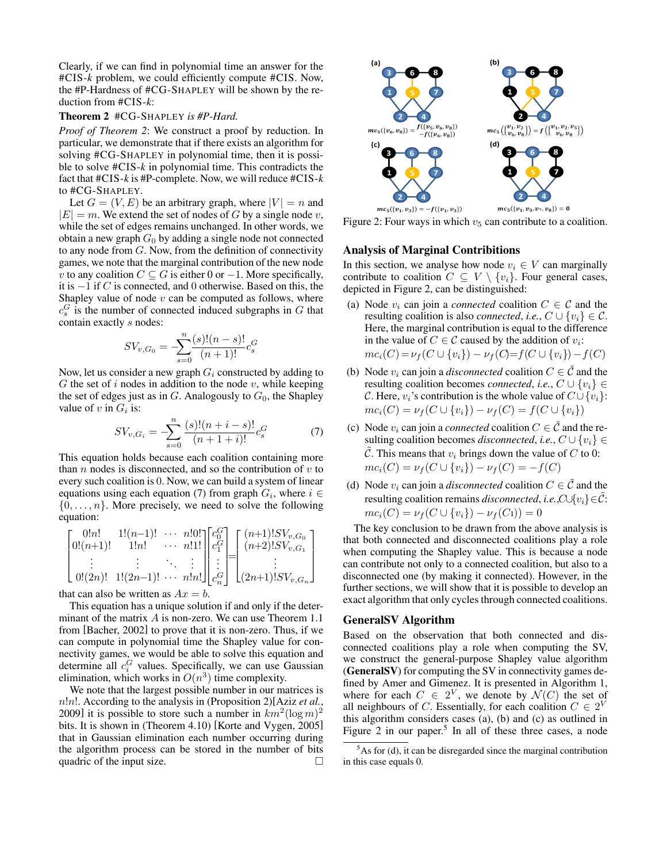Clearly, if we can find in polynomial time an answer for the #CIS-*k* problem, we could efficiently compute #CIS. Now, the #P-Hardness of #CG-SHAPLEY will be shown by the reduction from #CIS-*k*:

#### Theorem 2 #CG-SHAPLEY *is #P-Hard.*

*Proof of Theorem 2*: We construct a proof by reduction. In particular, we demonstrate that if there exists an algorithm for solving #CG-SHAPLEY in polynomial time, then it is possible to solve #CIS-*k* in polynomial time. This contradicts the fact that #CIS-*k* is #P-complete. Now, we will reduce #CIS-*k* to #CG-SHAPLEY.

Let  $G = (V, E)$  be an arbitrary graph, where  $|V| = n$  and  $|E| = m$ . We extend the set of nodes of G by a single node v, while the set of edges remains unchanged. In other words, we obtain a new graph  $G_0$  by adding a single node not connected to any node from  $G$ . Now, from the definition of connectivity games, we note that the marginal contribution of the new node v to any coalition  $C \subseteq G$  is either 0 or  $-1$ . More specifically, it is −1 if C is connected, and 0 otherwise. Based on this, the Shapley value of node  $v$  can be computed as follows, where  $c_s^G$  is the number of connected induced subgraphs in G that contain exactly s nodes:

$$
SV_{v,G_0} = -\sum_{s=0}^{n} \frac{(s)!(n-s)!}{(n+1)!} c_s^G
$$

Now, let us consider a new graph  $G_i$  constructed by adding to  $G$  the set of i nodes in addition to the node  $v$ , while keeping the set of edges just as in  $G$ . Analogously to  $G_0$ , the Shapley value of  $v$  in  $G_i$  is:

$$
SV_{v,G_i} = -\sum_{s=0}^{n} \frac{(s)!(n+i-s)!}{(n+1+i)!} c_s^G \tag{7}
$$

This equation holds because each coalition containing more than  $n$  nodes is disconnected, and so the contribution of  $v$  to every such coalition is 0. Now, we can build a system of linear equations using each equation (7) from graph  $G_i$ , where  $i \in$  $\{0, \ldots, n\}$ . More precisely, we need to solve the following equation:

$$
\begin{bmatrix}\n0!n! & 1!(n-1)! & \cdots & n!0! \\
0!(n+1)! & 1!n! & \cdots & n!1! \\
\vdots & \vdots & \ddots & \vdots \\
0!(2n)! & 1!(2n-1)! & \cdots & n!n!\n\end{bmatrix}\n\begin{bmatrix}\nc_0^G \\
c_1^G \\
\vdots \\
c_n^G\n\end{bmatrix}\n=\n\begin{bmatrix}\n(n+1)!S V_{v,G_0} \\
(n+2)!S V_{v,G_1} \\
\vdots \\
(2n+1)!S V_{v,G_n}\n\end{bmatrix}
$$

that can also be written as  $Ax = b$ .

This equation has a unique solution if and only if the determinant of the matrix A is non-zero. We can use Theorem 1.1 from [Bacher, 2002] to prove that it is non-zero. Thus, if we can compute in polynomial time the Shapley value for connectivity games, we would be able to solve this equation and determine all  $c_i^G$  values. Specifically, we can use Gaussian elimination, which works in  $O(n^3)$  time complexity.

We note that the largest possible number in our matrices is n!n!. According to the analysis in (Proposition 2)[Aziz *et al.*, 2009] it is possible to store such a number in  $km^2(\log m)^2$ bits. It is shown in (Theorem 4.10) [Korte and Vygen, 2005] that in Gaussian elimination each number occurring during the algorithm process can be stored in the number of bits quadric of the input size.  $\Box$ 



Figure 2: Four ways in which  $v_5$  can contribute to a coalition.

### Analysis of Marginal Contribitions

In this section, we analyse how node  $v_i \in V$  can marginally contribute to coalition  $C \subseteq V \setminus \{v_i\}$ . Four general cases, depicted in Figure 2, can be distinguished:

- (a) Node  $v_i$  can join a *connected* coalition  $C \in \mathcal{C}$  and the resulting coalition is also *connected*, *i.e.*,  $C \cup \{v_i\} \in \mathcal{C}$ . Here, the marginal contribution is equal to the difference in the value of  $C \in \mathcal{C}$  caused by the addition of  $v_i$ :  $mc_i(C) = \nu_f(C \cup \{v_i\}) - \nu_f(C) = f(C \cup \{v_i\}) - f(C)$
- (b) Node  $v_i$  can join a *disconnected* coalition  $C \in \mathcal{C}$  and the resulting coalition becomes *connected*, *i.e.*,  $C \cup \{v_i\} \in$ C. Here,  $v_i$ 's contribution is the whole value of  $C \cup \{v_i\}$ :  $mc_i(C) = \nu_f(C \cup \{v_i\}) - \nu_f(C) = f(C \cup \{v_i\})$
- (c) Node  $v_i$  can join a *connected* coalition  $C \in \tilde{C}$  and the resulting coalition becomes *disconnected*, *i.e.*,  $C \cup \{v_i\} \in$  $\tilde{C}$ . This means that  $v_i$  brings down the value of C to 0:  $mc_i(C) = \nu_f(C \cup \{v_i\}) - \nu_f(C) = -f(C)$
- (d) Node  $v_i$  can join a *disconnected* coalition  $C \in \tilde{C}$  and the resulting coalition remains *disconnected*, *i.e.*,C∪{vi}∈C˜:  $mc_i(C) = \nu_f(C \cup \{v_i\}) - \nu_f(C_1)) = 0$

The key conclusion to be drawn from the above analysis is that both connected and disconnected coalitions play a role when computing the Shapley value. This is because a node can contribute not only to a connected coalition, but also to a disconnected one (by making it connected). However, in the further sections, we will show that it is possible to develop an exact algorithm that only cycles through connected coalitions.

#### GeneralSV Algorithm

Based on the observation that both connected and disconnected coalitions play a role when computing the SV, we construct the general-purpose Shapley value algorithm (GeneralSV) for computing the SV in connectivity games defined by Amer and Gimenez. It is presented in Algorithm 1, where for each  $C \in 2^V$ , we denote by  $\mathcal{N}(C)$  the set of all neighbours of C. Essentially, for each coalition  $C \in 2^V$ this algorithm considers cases (a), (b) and (c) as outlined in Figure 2 in our paper.<sup>5</sup> In all of these three cases, a node

 $5$ As for (d), it can be disregarded since the marginal contribution in this case equals 0.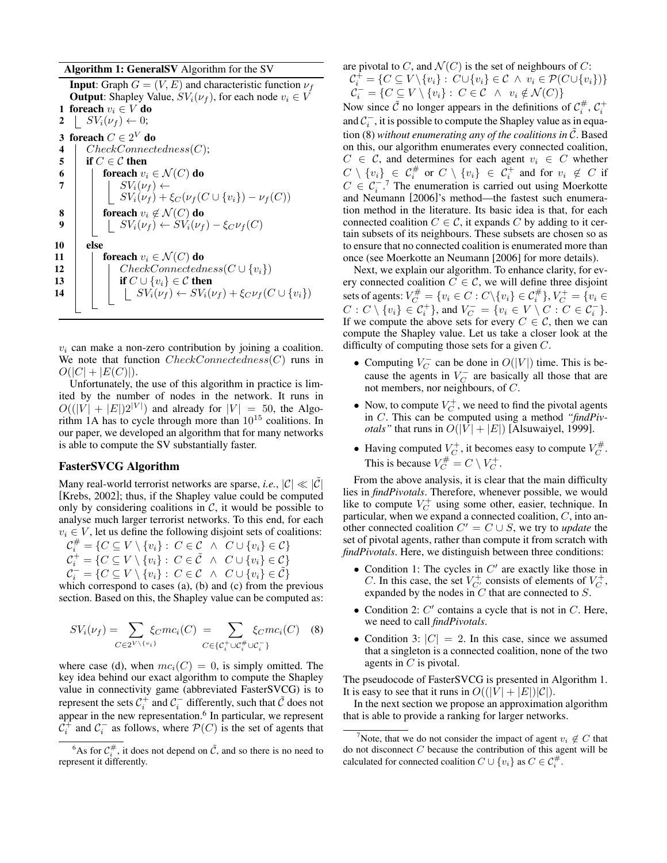#### Algorithm 1: GeneralSV Algorithm for the SV

**Input:** Graph  $G = (V, E)$  and characteristic function  $\nu_f$ **Output:** Shapley Value,  $SV_i(\nu_f)$ , for each node  $v_i \in V$ 1 foreach  $v_i \in V$  do 2 |  $SV_i(\nu_f) \leftarrow 0;$ 3 foreach  $C \in 2^V$  do 4 | CheckConnectedness(C); 5 if  $C \in \mathcal{C}$  then 6 **for each**  $v_i \in \mathcal{N}(C)$  do <br>7 **for each**  $v_i \in \mathcal{N}(C)$  $SV_i(\nu_f) \leftarrow$  $SV_i(\nu_f) + \xi_C(\nu_f(C \cup \{v_i\}) - \nu_f(C))$ 8  $\;\vert\;\;\vert$  foreach  $v_i \not\in \mathcal{N}(C)$  do 9  $\parallel \cdot \cdot \cdot S V_i(\nu_f) \leftarrow SV_i(\nu_f) - \xi_C \nu_f(C)$ 10 else 11 **foreach**  $v_i \in \mathcal{N}(C)$  do 12 | CheckConnectedness( $C \cup \{v_i\}$ ) 13 if  $C \cup \{v_i\} \in \mathcal{C}$  then 14 | | |  $SV_i(\nu_f) \leftarrow SV_i(\nu_f) + \xi_C \nu_f(C \cup \{v_i\})$ 

 $v_i$  can make a non-zero contribution by joining a coalition. We note that function  $CheckConnectedness(C)$  runs in  $O(|C| + |E(C)|).$ 

Unfortunately, the use of this algorithm in practice is limited by the number of nodes in the network. It runs in  $O((|V| + |E|)2^{|V|})$  and already for  $|V| = 50$ , the Algorithm 1A has to cycle through more than 10<sup>15</sup> coalitions. In our paper, we developed an algorithm that for many networks is able to compute the SV substantially faster.

## FasterSVCG Algorithm

Many real-world terrorist networks are sparse, *i.e.*,  $|\mathcal{C}| \ll |\mathcal{C}|$ [Krebs, 2002]; thus, if the Shapley value could be computed only by considering coalitions in  $C$ , it would be possible to analyse much larger terrorist networks. To this end, for each  $v_i \in V$ , let us define the following disjoint sets of coalitions:

 $\mathcal{C}_i^{\#} = \{C \subseteq V \setminus \{v_i\} : C \in \mathcal{C} \ \land \ C \cup \{v_i\} \in \mathcal{C}\}\$  $\mathcal{C}_i^+ = \{C \subseteq V \setminus \{v_i\} : C \in \tilde{\mathcal{C}} \ \wedge \ C \cup \{v_i\} \in \mathcal{C}\}\$  $\mathcal{C}_i^- = \{C \subseteq V \setminus \{v_i\} : C \in \mathcal{C} \ \land \ C \cup \{v_i\} \in \tilde{\mathcal{C}}\}\$ 

which correspond to cases (a), (b) and (c) from the previous section. Based on this, the Shapley value can be computed as:

$$
SV_i(\nu_f) = \sum_{C \in 2^V \setminus \{v_i\}} \xi_C mc_i(C) = \sum_{C \in \{\mathcal{C}_i^+ \cup \mathcal{C}_i^+ \cup C_i^- \}} \xi_C mc_i(C) \quad (8)
$$

where case (d), when  $mc<sub>i</sub>(C) = 0$ , is simply omitted. The key idea behind our exact algorithm to compute the Shapley value in connectivity game (abbreviated FasterSVCG) is to represent the sets  $C_i^+$  and  $C_i^-$  differently, such that  $\tilde{C}$  does not appear in the new representation.<sup>6</sup> In particular, we represent  $\mathcal{C}_i^+$  and  $\mathcal{C}_i^-$  as follows, where  $\mathcal{P}(C)$  is the set of agents that are pivotal to C, and  $\mathcal{N}(C)$  is the set of neighbours of C:  $\mathcal{C}_i^{\dagger} = \{ C \subseteq V \setminus \{v_i\} : C \cup \{v_i\} \in \mathcal{C} \land v_i \in \mathcal{P}(C \cup \{v_i\}) \}$  $\mathcal{C}_i^- = \{C \subseteq V \setminus \{v_i\} : C \in \mathcal{C} \ \land \ v_i \notin \mathcal{N}(C)\}\$ 

Now since  $\tilde{C}$  no longer appears in the definitions of  $C_i^{\#}, C_i^{\dagger}$ and  $C_i^-$ , it is possible to compute the Shapley value as in equation (8) without enumerating any of the coalitions in C. Based on this, our algorithm enumerates every connected coalition,  $C \in \mathcal{C}$ , and determines for each agent  $v_i \in C$  whether  $C \setminus \{v_i\} \in C_i^{\#}$  or  $C \setminus \{v_i\} \in C_i^+$  and for  $v_i \not\in C$  if  $C \in \mathcal{C}_i^{-7}$  The enumeration is carried out using Moerkotte and Neumann [2006]'s method—the fastest such enumeration method in the literature. Its basic idea is that, for each connected coalition  $C \in \mathcal{C}$ , it expands C by adding to it certain subsets of its neighbours. These subsets are chosen so as to ensure that no connected coalition is enumerated more than once (see Moerkotte an Neumann [2006] for more details).

Next, we explain our algorithm. To enhance clarity, for every connected coalition  $C \in \mathcal{C}$ , we will define three disjoint sets of agents:  $V_C^{\#} = \{v_i \in C : C \setminus \{v_i\} \in \mathcal{C}_i^{\#}\}, V_C^+ = \{v_i \in$  $C: C \setminus \{v_i\} \in C_i^+\}$ , and  $V_C^- = \{v_i \in V \setminus C : C \in C_i^-\}$ . If we compute the above sets for every  $C \in \mathcal{C}$ , then we can compute the Shapley value. Let us take a closer look at the difficulty of computing those sets for a given  $C$ .

- Computing  $V_C^-$  can be done in  $O(|V|)$  time. This is because the agents in  $V_C^-$  are basically all those that are not members, nor neighbours, of C.
- Now, to compute  $V_C^+$ , we need to find the pivotal agents in C. This can be computed using a method *"findPivotals*" that runs in  $O(|V| + |E|)$  [Alsuwaiyel, 1999].
- Having computed  $V_C^+$ , it becomes easy to compute  $V_C^{\#}$ . This is because  $V_C^{\#} = C \setminus V_C^+$ .

From the above analysis, it is clear that the main difficulty lies in *findPivotals*. Therefore, whenever possible, we would like to compute  $V_C^+$  using some other, easier, technique. In particular, when we expand a connected coalition,  $C$ , into another connected coalition  $C' = C \cup S$ , we try to *update* the set of pivotal agents, rather than compute it from scratch with *findPivotals*. Here, we distinguish between three conditions:

- Condition 1: The cycles in  $C'$  are exactly like those in C. In this case, the set  $V^+_{C'}$  consists of elements of  $V^+_{C}$ , expanded by the nodes in  $C$  that are connected to  $S$ .
- Condition 2:  $C'$  contains a cycle that is not in  $C$ . Here, we need to call *findPivotals*.
- Condition 3:  $|C| = 2$ . In this case, since we assumed that a singleton is a connected coalition, none of the two agents in  $C$  is pivotal.

The pseudocode of FasterSVCG is presented in Algorithm 1. It is easy to see that it runs in  $O((|V| + |E|)|C|)$ .

In the next section we propose an approximation algorithm that is able to provide a ranking for larger networks.

<sup>&</sup>lt;sup>6</sup>As for  $C_i^{\#}$ , it does not depend on  $\tilde{C}$ , and so there is no need to represent it differently.

<sup>&</sup>lt;sup>7</sup>Note, that we do not consider the impact of agent  $v_i \notin C$  that do not disconnect  $C$  because the contribution of this agent will be calculated for connected coalition  $C \cup \{v_i\}$  as  $C \in \mathcal{C}_i^{\#}$ .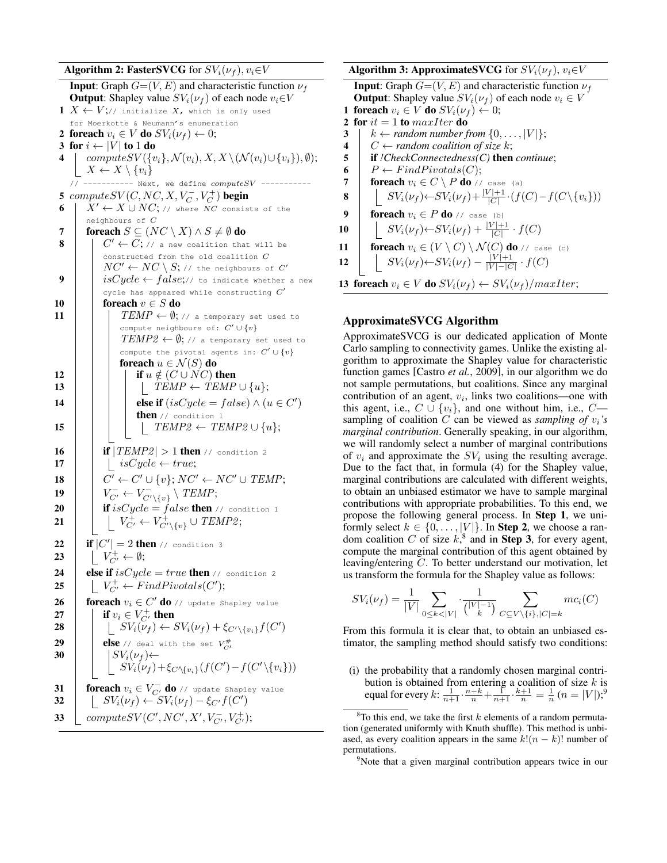Algorithm 2: FasterSVCG for  $SV_i(\nu_f)$ ,  $v_i \in V$ **Input:** Graph  $G=(V, E)$  and characteristic function  $\nu_f$ **Output:** Shapley value  $SV_i(\nu_f)$  of each node  $v_i \in V$ 1  $X \leftarrow V;$ // initialize X, which is only used for Moerkotte & Neumann's enumeration 2 foreach  $v_i \in V$  do  $SV_i(\nu_f) \leftarrow 0$ ; 3 for  $i \leftarrow |V|$  to 1 do 4 | computeSV( $\{v_i\}$ ,  $\mathcal{N}(v_i)$ ,  $X$ ,  $X \setminus (\mathcal{N}(v_i) \cup \{v_i\}), \emptyset$ );  $X \leftarrow X \setminus \{v_i\}$  $//$  ----------- Next, we define  $computeSV$  ----5  $\mathit{computeSV}(C, NC, X, V_C^-, V_C^+)$  begin 6  $X' \leftarrow X \cup NC$ ; // where NC consists of the neighbours of  $\overline{C}$ 7 foreach  $S \subseteq (NC \setminus X) \land S \neq \emptyset$  do 8 C <sup>0</sup> ← C; // a new coalition that will be constructed from the old coalition C  $NC' \leftarrow NC \setminus S;$  // the neighbours of  $C'$ 9 | |  $isCycle \leftarrow false; //$  to indicate whether a new cycle has appeared while constructing  $C^{\prime}$ 10 foreach  $v \in S$  do 11 | | |  $\text{TEMP} \leftarrow \emptyset$ ; // a temporary set used to compute neighbours of:  $C'\cup \{v\}$  $TEMP2 \leftarrow \emptyset$ ; // a temporary set used to compute the pivotal agents in:  $C' \cup \{v\}$ foreach  $u \in \mathcal{N}(S)$  do 12 | | | if  $u \notin (C \cup NC)$  then 13 | | | |  $\text{TEMP} \leftarrow \text{TEMP} \cup \{u\};$ 14  $\Box$  else if  $(isCycle = false) \wedge (u \in C')$ then // condition 1 15 | | | |  $\text{TEMP2} \leftarrow \text{TEMP2} \cup \{u\};$ 16 **if**  $|TEMP2| > 1$  then // condition 2 17 | | isCycle  $\leftarrow true;$ 18 C <sup>0</sup> ← C <sup>0</sup> ∪ {v}; NC<sup>0</sup> ← NC<sup>0</sup> ∪ TEMP; 19  $\Big|\Big| V_{C'}^- \leftarrow V_{C'\setminus \{v\}}^- \setminus \mathit{TEMP};$ 20 if isCycle = false then // condition 1 21  $\begin{array}{|c|c|c|c|c|}\n\hline\n & & V_{C'}^+ \leftarrow V_{C'\setminus\{v\}}^+ \cup \mathit{TEMP2};\n\hline\n\end{array}$ 22 **if**  $|C'| = 2$  then // condition 3 23  $\Big| \Big| V^+_{C'} \leftarrow \emptyset;$ 24 **else if**  $isCycle = true$  then // condition 2 25  $\bigcup V^+_{C'} \leftarrow FindPivotals(C');$ 26  $\parallel$  foreach  $v_i \in C'$  do // update Shapley value 27  $\begin{array}{|c|c|} \hline \ \ \text{if } v_i \in V_{C'}^+ \text{ then} \end{array}$ 28  $\boxed{\phantom{i}}$   $\boxed{\phantom{i}}$   $SV_i(\nu_f) \leftarrow SV_i(\nu_f) + \xi_{C' \setminus \{v_i\}}f(C')$ 29  $\parallel$  else // deal with the set  $V_{C}^{\#}$ 30  $S = \begin{bmatrix} \cos(\nu_f) & \cos(\nu_f) \\ \cos(\nu_f) & \cos(\nu_f) \end{bmatrix}$  $\overline{SV_i(\nu_f)} + \xi_{C \setminus \{v_i\}}(f(C') - f(C' \setminus \{v_i\}))$ 31 **foreach**  $v_i \in V_{C'}^-$  **do** // update Shapley value 32  $\vert$   $\vert$   $SV_i(\nu_f) \leftarrow SV_i(\nu_f) - \xi_{C'}f(C')$ 33  $\left\{ \textit{computeSV}(C', NC', X', V_{C'}^-, V_{C'}^+) ; \right.$ 

Algorithm 3: ApproximateSVCG for  $SV_i(\nu_f)$ ,  $v_i \in V$ 

**Input:** Graph  $G=(V, E)$  and characteristic function  $\nu_f$ **Output:** Shapley value  $SV_i(\nu_f)$  of each node  $v_i \in V$ 1 foreach  $v_i \in V$  do  $SV_i(\nu_f) \leftarrow 0;$ 2 for  $it = 1$  to maxIter do  $k \leftarrow$  *random number from*  $\{0, \ldots, |V|\};$  $C \leftarrow$  *random coalition of size k*;<br>5 **if** *!CheckConnectedness(C)* then if *!CheckConnectedness(C)* then *continue*;  $P \leftarrow FindPivotals(C);$  foreach  $v_i \in C \setminus P$  do // case (a)  $\vert S_{V_i}(\nu_f) \leftarrow SV_i(\nu_f) + \frac{|V|+1}{|C|} \cdot (f(C) - f(C \setminus \{v_i\}))$  foreach  $v_i \in P$  do // case (b)  $\Big|$   $SV_i(\nu_f) \leftarrow SV_i(\nu_f) + \frac{|V|+1}{|C|} \cdot f(C)$ **foreach**  $v_i \in (V \setminus C) \setminus \mathcal{N}(C)$  do // case (c)  $\parallel SN_i(\nu_f) \leftarrow SV_i(\nu_f) - \frac{|V|+1}{|V| - |C|}$  $\frac{|V|+1}{|V| - |C|} \cdot f(C)$ 13 foreach  $v_i \in V$  do  $SV_i(\nu_f) \leftarrow SV_i(\nu_f)/maxIter;$ 

## ApproximateSVCG Algorithm

ApproximateSVCG is our dedicated application of Monte Carlo sampling to connectivity games. Unlike the existing algorithm to approximate the Shapley value for characteristic function games [Castro *et al.*, 2009], in our algorithm we do not sample permutations, but coalitions. Since any marginal contribution of an agent,  $v_i$ , links two coalitions—one with this agent, i.e.,  $C \cup \{v_i\}$ , and one without him, i.e.,  $C$  sampling of coalition  $C$  can be viewed as *sampling of*  $v_i$ 's *marginal contribution*. Generally speaking, in our algorithm, we will randomly select a number of marginal contributions of  $v_i$  and approximate the  $SV_i$  using the resulting average. Due to the fact that, in formula (4) for the Shapley value, marginal contributions are calculated with different weights, to obtain an unbiased estimator we have to sample marginal contributions with appropriate probabilities. To this end, we propose the following general process. In Step 1, we uniformly select  $k \in \{0, \ldots, |V|\}$ . In **Step 2**, we choose a random coalition C of size  $k$ ,<sup>8</sup> and in **Step 3**, for every agent, compute the marginal contribution of this agent obtained by leaving/entering C. To better understand our motivation, let us transform the formula for the Shapley value as follows:

$$
SV_i(\nu_f) = \frac{1}{|V|} \sum_{0 \le k < |V|} \cdot \frac{1}{\binom{|V| - 1}{k}} \sum_{C \subseteq V \setminus \{i\}, |C| = k} mc_i(C)
$$

From this formula it is clear that, to obtain an unbiased estimator, the sampling method should satisfy two conditions:

(i) the probability that a randomly chosen marginal contribution is obtained from entering a coalition of size  $k$  is equal for every  $k: \frac{1}{n+1} \cdot \frac{n-k}{n} + \frac{1}{n+1} \cdot \frac{k+1}{n} = \frac{1}{n} (n = |V|);^9$ 

 $8$ To this end, we take the first k elements of a random permutation (generated uniformly with Knuth shuffle). This method is unbiased, as every coalition appears in the same  $k!(n - k)!$  number of permutations.

<sup>&</sup>lt;sup>9</sup>Note that a given marginal contribution appears twice in our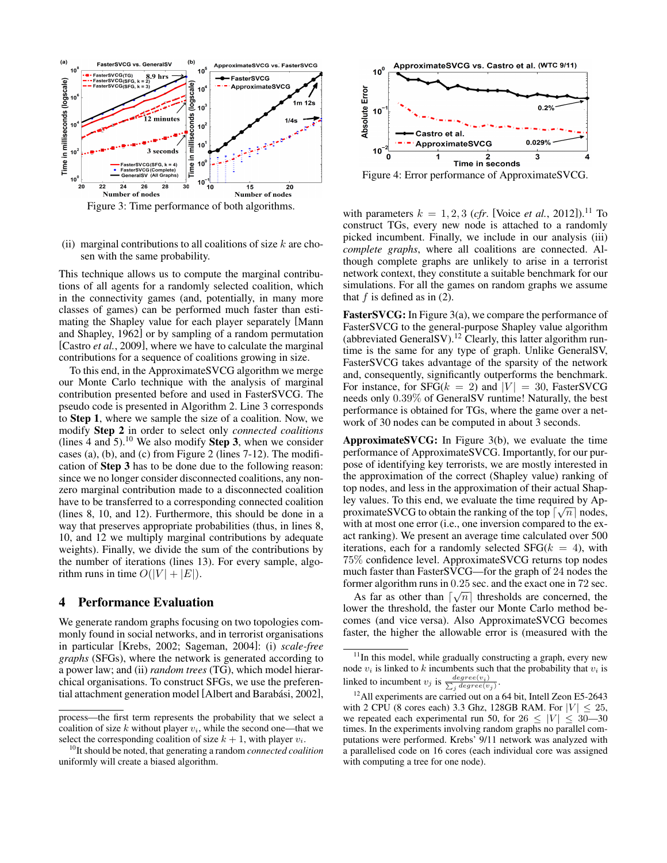

Figure 3: Time performance of both algorithms.

(ii) marginal contributions to all coalitions of size  $k$  are chosen with the same probability.

This technique allows us to compute the marginal contributions of all agents for a randomly selected coalition, which in the connectivity games (and, potentially, in many more classes of games) can be performed much faster than estimating the Shapley value for each player separately [Mann and Shapley, 1962] or by sampling of a random permutation [Castro *et al.*, 2009], where we have to calculate the marginal contributions for a sequence of coalitions growing in size.

To this end, in the ApproximateSVCG algorithm we merge our Monte Carlo technique with the analysis of marginal contribution presented before and used in FasterSVCG. The pseudo code is presented in Algorithm 2. Line 3 corresponds to Step 1, where we sample the size of a coalition. Now, we modify Step 2 in order to select only *connected coalitions* (lines 4 and 5).<sup>10</sup> We also modify **Step 3**, when we consider cases (a), (b), and (c) from Figure 2 (lines 7-12). The modification of Step 3 has to be done due to the following reason: since we no longer consider disconnected coalitions, any nonzero marginal contribution made to a disconnected coalition have to be transferred to a corresponding connected coalition (lines 8, 10, and 12). Furthermore, this should be done in a way that preserves appropriate probabilities (thus, in lines 8, 10, and 12 we multiply marginal contributions by adequate weights). Finally, we divide the sum of the contributions by the number of iterations (lines 13). For every sample, algorithm runs in time  $O(|V| + |E|)$ .

## 4 Performance Evaluation

We generate random graphs focusing on two topologies commonly found in social networks, and in terrorist organisations in particular [Krebs, 2002; Sageman, 2004]: (i) *scale-free graphs* (SFGs), where the network is generated according to a power law; and (ii) *random trees* (TG), which model hierarchical organisations. To construct SFGs, we use the preferential attachment generation model [Albert and Barabási, 2002],



Figure 4: Error performance of ApproximateSVCG.

with parameters  $k = 1, 2, 3$  (*cfr.* [Voice *et al.*, 2012]).<sup>11</sup> To construct TGs, every new node is attached to a randomly picked incumbent. Finally, we include in our analysis (iii) *complete graphs*, where all coalitions are connected. Although complete graphs are unlikely to arise in a terrorist network context, they constitute a suitable benchmark for our simulations. For all the games on random graphs we assume that  $f$  is defined as in  $(2)$ .

FasterSVCG: In Figure 3(a), we compare the performance of FasterSVCG to the general-purpose Shapley value algorithm (abbreviated GeneralSV).<sup>12</sup> Clearly, this latter algorithm runtime is the same for any type of graph. Unlike GeneralSV, FasterSVCG takes advantage of the sparsity of the network and, consequently, significantly outperforms the benchmark. For instance, for  $SFG(k = 2)$  and  $|V| = 30$ , FasterSVCG needs only 0.39% of GeneralSV runtime! Naturally, the best performance is obtained for TGs, where the game over a network of 30 nodes can be computed in about 3 seconds.

ApproximateSVCG: In Figure 3(b), we evaluate the time performance of ApproximateSVCG. Importantly, for our purpose of identifying key terrorists, we are mostly interested in the approximation of the correct (Shapley value) ranking of top nodes, and less in the approximation of their actual Shapley values. To this end, we evaluate the time required by ApproximateSVCG to obtain the ranking of the top  $\lceil \sqrt{n} \rceil$  nodes, with at most one error (i.e., one inversion compared to the exact ranking). We present an average time calculated over 500 iterations, each for a randomly selected  $SFG(k = 4)$ , with 75% confidence level. ApproximateSVCG returns top nodes much faster than FasterSVCG—for the graph of 24 nodes the former algorithm runs in  $0.25$  sec. and the exact one in 72 sec.

As far as other than  $\lceil \sqrt{n} \rceil$  thresholds are concerned, the lower the threshold, the faster our Monte Carlo method becomes (and vice versa). Also ApproximateSVCG becomes faster, the higher the allowable error is (measured with the

process—the first term represents the probability that we select a coalition of size k without player  $v_i$ , while the second one—that we select the corresponding coalition of size  $k + 1$ , with player  $v_i$ .

<sup>10</sup>It should be noted, that generating a random *connected coalition* uniformly will create a biased algorithm.

<sup>&</sup>lt;sup>11</sup>In this model, while gradually constructing a graph, every new node  $v_i$  is linked to k incumbents such that the probability that  $v_i$  is linked to incumbent  $v_j$  is  $\frac{degree(v_i)}{\sum_i degree(v_i)}$  $_j degree(v_j)$ .

<sup>&</sup>lt;sup>12</sup> All experiments are carried out on a 64 bit, Intell Zeon E5-2643 with 2 CPU (8 cores each) 3.3 Ghz, 128GB RAM. For  $|V| \le 25$ , we repeated each experimental run 50, for  $26 \leq |V| \leq 30-30$ times. In the experiments involving random graphs no parallel computations were performed. Krebs' 9/11 network was analyzed with a parallelised code on 16 cores (each individual core was assigned with computing a tree for one node).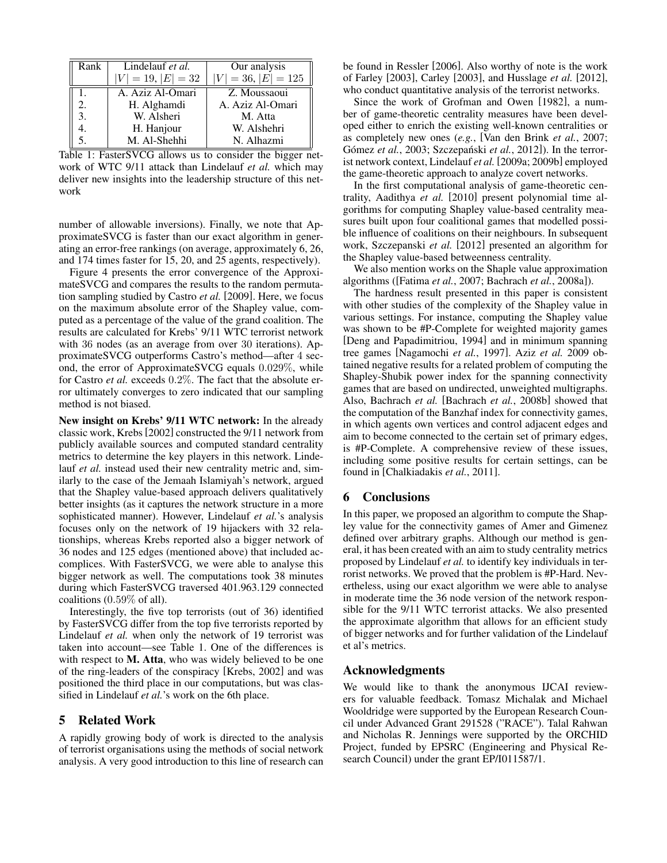| Rank | Lindelauf et al.     | Our analysis          |
|------|----------------------|-----------------------|
|      | $ V  = 19,  E  = 32$ | $ V  = 36,  E  = 125$ |
| Ι.   | A. Aziz Al-Omari     | Z. Moussaoui          |
| 2.   | H. Alghamdi          | A. Aziz Al-Omari      |
| 3.   | W. Alsheri           | M. Atta               |
| 4.   | H. Hanjour           | W. Alshehri           |
|      | M. Al-Shehhi         | N. Alhazmi            |

Table 1: FasterSVCG allows us to consider the bigger network of WTC 9/11 attack than Lindelauf *et al.* which may deliver new insights into the leadership structure of this network

number of allowable inversions). Finally, we note that ApproximateSVCG is faster than our exact algorithm in generating an error-free rankings (on average, approximately 6, 26, and 174 times faster for 15, 20, and 25 agents, respectively).

Figure 4 presents the error convergence of the ApproximateSVCG and compares the results to the random permutation sampling studied by Castro *et al.* [2009]. Here, we focus on the maximum absolute error of the Shapley value, computed as a percentage of the value of the grand coalition. The results are calculated for Krebs' 9/11 WTC terrorist network with 36 nodes (as an average from over 30 iterations). ApproximateSVCG outperforms Castro's method—after 4 second, the error of ApproximateSVCG equals 0.029%, while for Castro *et al.* exceeds 0.2%. The fact that the absolute error ultimately converges to zero indicated that our sampling method is not biased.

New insight on Krebs' 9/11 WTC network: In the already classic work, Krebs[2002] constructed the 9/11 network from publicly available sources and computed standard centrality metrics to determine the key players in this network. Lindelauf *et al.* instead used their new centrality metric and, similarly to the case of the Jemaah Islamiyah's network, argued that the Shapley value-based approach delivers qualitatively better insights (as it captures the network structure in a more sophisticated manner). However, Lindelauf *et al.*'s analysis focuses only on the network of 19 hijackers with 32 relationships, whereas Krebs reported also a bigger network of 36 nodes and 125 edges (mentioned above) that included accomplices. With FasterSVCG, we were able to analyse this bigger network as well. The computations took 38 minutes during which FasterSVCG traversed 401.963.129 connected coalitions (0.59% of all).

Interestingly, the five top terrorists (out of 36) identified by FasterSVCG differ from the top five terrorists reported by Lindelauf *et al.* when only the network of 19 terrorist was taken into account—see Table 1. One of the differences is with respect to M. Atta, who was widely believed to be one of the ring-leaders of the conspiracy [Krebs, 2002] and was positioned the third place in our computations, but was classified in Lindelauf *et al.*'s work on the 6th place.

## 5 Related Work

A rapidly growing body of work is directed to the analysis of terrorist organisations using the methods of social network analysis. A very good introduction to this line of research can be found in Ressler [2006]. Also worthy of note is the work of Farley [2003], Carley [2003], and Husslage *et al.* [2012], who conduct quantitative analysis of the terrorist networks.

Since the work of Grofman and Owen [1982], a number of game-theoretic centrality measures have been developed either to enrich the existing well-known centralities or as completely new ones (*e.g.*, [Van den Brink *et al.*, 2007; Gómez et al., 2003; Szczepański et al., 2012]). In the terrorist network context, Lindelauf *et al.* [2009a; 2009b] employed the game-theoretic approach to analyze covert networks.

In the first computational analysis of game-theoretic centrality, Aadithya *et al.* [2010] present polynomial time algorithms for computing Shapley value-based centrality measures built upon four coalitional games that modelled possible influence of coalitions on their neighbours. In subsequent work, Szczepanski *et al.* [2012] presented an algorithm for the Shapley value-based betweenness centrality.

We also mention works on the Shaple value approximation algorithms ([Fatima *et al.*, 2007; Bachrach *et al.*, 2008a]).

The hardness result presented in this paper is consistent with other studies of the complexity of the Shapley value in various settings. For instance, computing the Shapley value was shown to be #P-Complete for weighted majority games [Deng and Papadimitriou, 1994] and in minimum spanning tree games [Nagamochi *et al.*, 1997]. Aziz *et al.* 2009 obtained negative results for a related problem of computing the Shapley-Shubik power index for the spanning connectivity games that are based on undirected, unweighted multigraphs. Also, Bachrach *et al.* [Bachrach *et al.*, 2008b] showed that the computation of the Banzhaf index for connectivity games, in which agents own vertices and control adjacent edges and aim to become connected to the certain set of primary edges, is #P-Complete. A comprehensive review of these issues, including some positive results for certain settings, can be found in [Chalkiadakis *et al.*, 2011].

## 6 Conclusions

In this paper, we proposed an algorithm to compute the Shapley value for the connectivity games of Amer and Gimenez defined over arbitrary graphs. Although our method is general, it has been created with an aim to study centrality metrics proposed by Lindelauf *et al.* to identify key individuals in terrorist networks. We proved that the problem is #P-Hard. Nevertheless, using our exact algorithm we were able to analyse in moderate time the 36 node version of the network responsible for the 9/11 WTC terrorist attacks. We also presented the approximate algorithm that allows for an efficient study of bigger networks and for further validation of the Lindelauf et al's metrics.

## Acknowledgments

We would like to thank the anonymous IJCAI reviewers for valuable feedback. Tomasz Michalak and Michael Wooldridge were supported by the European Research Council under Advanced Grant 291528 ("RACE"). Talal Rahwan and Nicholas R. Jennings were supported by the ORCHID Project, funded by EPSRC (Engineering and Physical Research Council) under the grant EP/I011587/1.